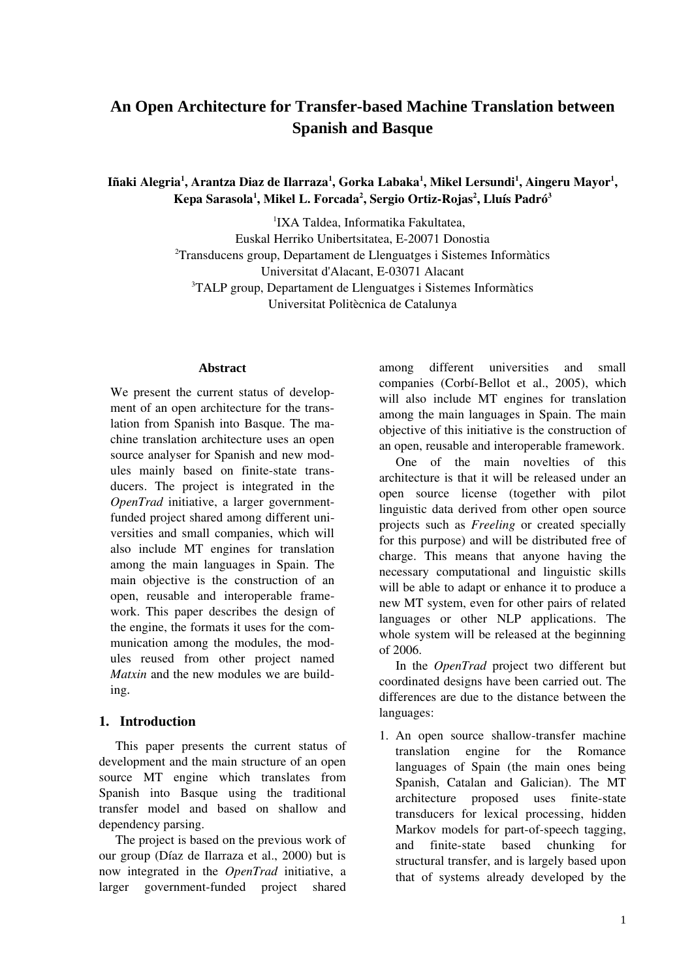# **An Open Architecture for Transfer-based Machine Translation between Spanish and Basque**

Iñaki Alegria<sup>1</sup>, Arantza Diaz de Ilarraza<sup>1</sup>, Gorka Labaka<sup>1</sup>, Mikel Lersundi<sup>1</sup>, Aingeru Mayor<sup>1</sup>, Kepa Sarasola<sup>1</sup>, Mikel L. Forcada<sup>2</sup>, Sergio Ortiz-Rojas<sup>2</sup>, Lluís Padró<sup>3</sup>

> 1 IXA Taldea, Informatika Fakultatea, Euskal Herriko Unibertsitatea, E20071 Donostia  $2$ Transducens group, Departament de Llenguatges i Sistemes Informàtics Universitat d'Alacant, E-03071 Alacant <sup>3</sup>TALP group, Departament de Llenguatges i Sistemes Informàtics Universitat Politècnica de Catalunya

#### **Abstract**

We present the current status of development of an open architecture for the translation from Spanish into Basque. The machine translation architecture uses an open source analyser for Spanish and new modules mainly based on finite-state transducers. The project is integrated in the *OpenTrad* initiative, a larger governmentfunded project shared among different universities and small companies, which will also include MT engines for translation among the main languages in Spain. The main objective is the construction of an open, reusable and interoperable framework. This paper describes the design of the engine, the formats it uses for the communication among the modules, the modules reused from other project named *Matxin* and the new modules we are building.

### 1. Introduction

This paper presents the current status of development and the main structure of an open source MT engine which translates from Spanish into Basque using the traditional transfer model and based on shallow and dependency parsing.

The project is based on the previous work of our group (Díaz de Ilarraza et al., 2000) but is now integrated in the *OpenTrad* initiative, a larger government-funded project shared

among different universities and small companies (Corbí-Bellot et al., 2005), which will also include MT engines for translation among the main languages in Spain. The main objective of this initiative is the construction of an open, reusable and interoperable framework.

One of the main novelties of this architecture is that it will be released under an open source license (together with pilot linguistic data derived from other open source projects such as *Freeling* or created specially for this purpose) and will be distributed free of charge. This means that anyone having the necessary computational and linguistic skills will be able to adapt or enhance it to produce a new MT system, even for other pairs of related languages or other NLP applications. The whole system will be released at the beginning of 2006.

In the *OpenTrad* project two different but coordinated designs have been carried out. The differences are due to the distance between the languages:

1. An open source shallow-transfer machine translation engine for the Romance languages of Spain (the main ones being Spanish, Catalan and Galician). The MT architecture proposed uses finite-state transducers for lexical processing, hidden Markov models for part-of-speech tagging, and finite-state based chunking for structural transfer, and is largely based upon that of systems already developed by the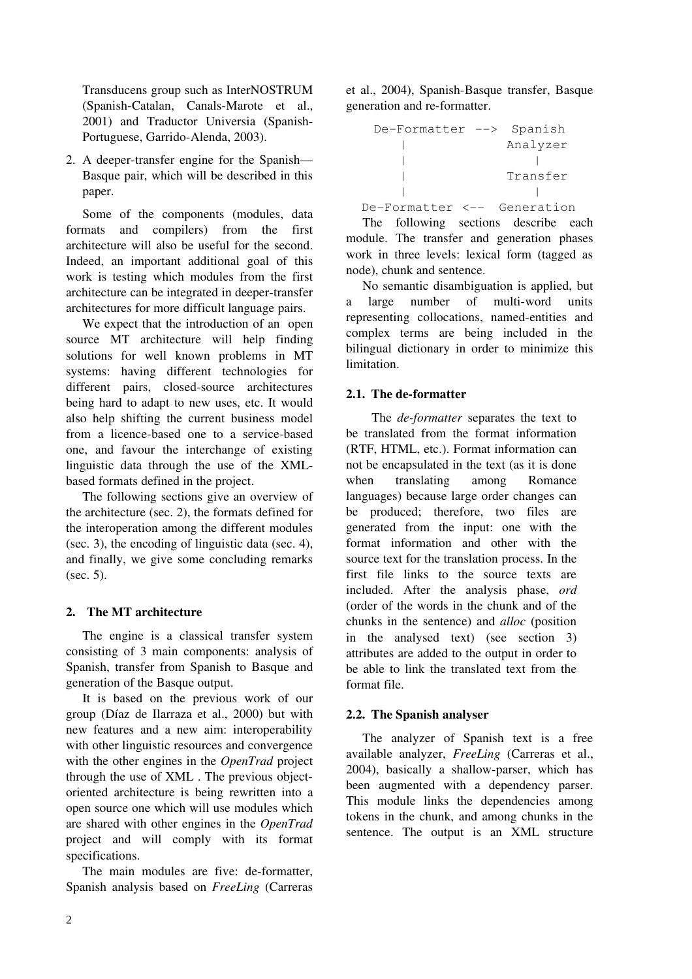Transducens group such as InterNOSTRUM (Spanish-Catalan, Canals-Marote et al., 2001) and Traductor Universia (Spanish-Portuguese, Garrido-Alenda, 2003).

2. A deeper-transfer engine for the Spanish— Basque pair, which will be described in this paper.

Some of the components (modules, data formats and compilers) from the first architecture will also be useful for the second. Indeed, an important additional goal of this work is testing which modules from the first architecture can be integrated in deeper-transfer architectures for more difficult language pairs.

We expect that the introduction of an open source MT architecture will help finding solutions for well known problems in MT systems: having different technologies for different pairs, closed-source architectures being hard to adapt to new uses, etc. It would also help shifting the current business model from a licence-based one to a service-based one, and favour the interchange of existing linguistic data through the use of the XMLbased formats defined in the project.

The following sections give an overview of the architecture (sec. 2), the formats defined for the interoperation among the different modules (sec. 3), the encoding of linguistic data (sec. 4), and finally, we give some concluding remarks (sec. 5).

# 2. The MT architecture

The engine is a classical transfer system consisting of 3 main components: analysis of Spanish, transfer from Spanish to Basque and generation of the Basque output.

It is based on the previous work of our group (Díaz de Ilarraza et al., 2000) but with new features and a new aim: interoperability with other linguistic resources and convergence with the other engines in the *OpenTrad* project through the use of XML . The previous objectoriented architecture is being rewritten into a open source one which will use modules which are shared with other engines in the *OpenTrad* project and will comply with its format specifications.

The main modules are five: de-formatter, Spanish analysis based on *FreeLing* (Carreras et al., 2004), Spanish-Basque transfer, Basque generation and re-formatter.

| De-Formatter --> Spanish |            |
|--------------------------|------------|
|                          | Analyzer   |
|                          |            |
|                          | Transfer   |
|                          |            |
| De-Formatter <--         | Generation |

The following sections describe each module. The transfer and generation phases work in three levels: lexical form (tagged as node), chunk and sentence.

No semantic disambiguation is applied, but a large number of multi-word units representing collocations, named-entities and complex terms are being included in the bilingual dictionary in order to minimize this limitation.

# 2.1. The de-formatter

The *de-formatter* separates the text to be translated from the format information (RTF, HTML, etc.). Format information can not be encapsulated in the text (as it is done when translating among Romance languages) because large order changes can be produced; therefore, two files are generated from the input: one with the format information and other with the source text for the translation process. In the first file links to the source texts are included. After the analysis phase, *ord* (order of the words in the chunk and of the chunks in the sentence) and *alloc* (position in the analysed text) (see section 3) attributes are added to the output in order to be able to link the translated text from the format file.

# 2.2. The Spanish analyser

The analyzer of Spanish text is a free available analyzer, *FreeLing* (Carreras et al., 2004), basically a shallow-parser, which has been augmented with a dependency parser. This module links the dependencies among tokens in the chunk, and among chunks in the sentence. The output is an XML structure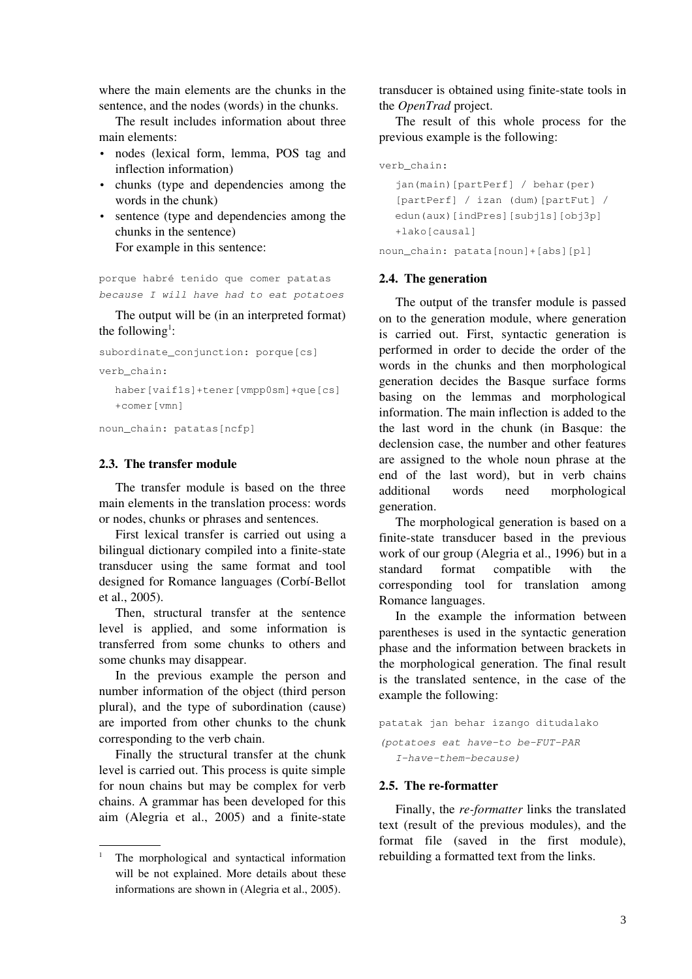where the main elements are the chunks in the sentence, and the nodes (words) in the chunks.

The result includes information about three main elements:

- nodes (lexical form, lemma, POS tag and inflection information)
- chunks (type and dependencies among the words in the chunk)
- sentence (type and dependencies among the chunks in the sentence) For example in this sentence:

porque habré tenido que comer patatas because I will have had to eat potatoes

The output will be (in an interpreted format) the following<sup>1</sup>:

subordinate\_conjunction: porque[cs]

verb\_chain:

haber[vaif1s]+tener[vmpp0sm]+que[cs] +comer[vmn]

noun\_chain: patatas[ncfp]

### 2.3. The transfer module

The transfer module is based on the three main elements in the translation process: words or nodes, chunks or phrases and sentences.

First lexical transfer is carried out using a bilingual dictionary compiled into a finite-state transducer using the same format and tool designed for Romance languages (Corbí-Bellot et al., 2005).

Then, structural transfer at the sentence level is applied, and some information is transferred from some chunks to others and some chunks may disappear.

In the previous example the person and number information of the object (third person plural), and the type of subordination (cause) are imported from other chunks to the chunk corresponding to the verb chain.

Finally the structural transfer at the chunk level is carried out. This process is quite simple for noun chains but may be complex for verb chains. A grammar has been developed for this aim (Alegria et al., 2005) and a finite-state transducer is obtained using finite-state tools in the *OpenTrad* project.

The result of this whole process for the previous example is the following:

```
verb_chain:
```

```
jan(main)[partPerf] / behar(per) 
  [partPerf] / izan (dum)[partFut] / 
  edun(aux)[indPres][subj1s][obj3p]
  +lako[causal]
noun_chain: patata[noun]+[abs][pl]
```
# 2.4. The generation

The output of the transfer module is passed on to the generation module, where generation is carried out. First, syntactic generation is performed in order to decide the order of the words in the chunks and then morphological generation decides the Basque surface forms basing on the lemmas and morphological information. The main inflection is added to the the last word in the chunk (in Basque: the declension case, the number and other features are assigned to the whole noun phrase at the end of the last word), but in verb chains additional words need morphological generation.

The morphological generation is based on a finite-state transducer based in the previous work of our group (Alegria et al., 1996) but in a standard format compatible with the corresponding tool for translation among Romance languages.

In the example the information between parentheses is used in the syntactic generation phase and the information between brackets in the morphological generation. The final result is the translated sentence, in the case of the example the following:

```
patatak jan behar izango ditudalako
(potatoes eat have-to be-FUT-PAR
  I-have-them-because)
```
# 2.5. The re-formatter

Finally, the *re-formatter* links the translated text (result of the previous modules), and the format file (saved in the first module), rebuilding a formatted text from the links.

<sup>1</sup> The morphological and syntactical information will be not explained. More details about these informations are shown in (Alegria et al., 2005).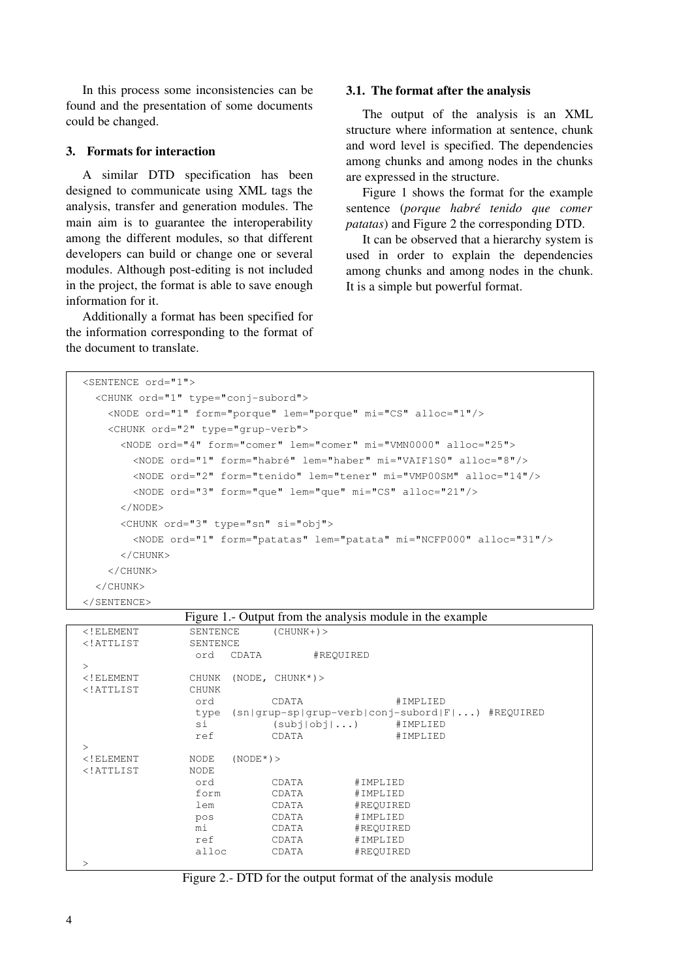In this process some inconsistencies can be found and the presentation of some documents could be changed.

#### 3. Formats for interaction

A similar DTD specification has been designed to communicate using XML tags the analysis, transfer and generation modules. The main aim is to guarantee the interoperability among the different modules, so that different developers can build or change one or several modules. Although post-editing is not included in the project, the format is able to save enough information for it.

Additionally a format has been specified for the information corresponding to the format of the document to translate.

#### 3.1. The format after the analysis

The output of the analysis is an XML structure where information at sentence, chunk and word level is specified. The dependencies among chunks and among nodes in the chunks are expressed in the structure.

Figure 1 shows the format for the example sentence (*porque habré tenido que comer patatas*) and Figure 2 the corresponding DTD.

It can be observed that a hierarchy system is used in order to explain the dependencies among chunks and among nodes in the chunk. It is a simple but powerful format.

```
<SENTENCE ord="1">
    <CHUNK ord="1" type="conjsubord">
        <NODE ord="1" form="porque" lem="porque" mi="CS" alloc="1"/>
    <CHUNK ord="2" type="grup-verb">
            <NODE ord="4" form="comer" lem="comer" mi="VMN0000" alloc="25">
                 <NODE ord="1" form="habré" lem="haber" mi="VAIF1S0" alloc="8"/>
                 <NODE ord="2" form="tenido" lem="tener" mi="VMP00SM" alloc="14"/>
                 <NODE ord="3" form="que" lem="que" mi="CS" alloc="21"/>
            </NODE>
            <CHUNK ord="3" type="sn" si="obj">
                 <NODE ord="1" form="patatas" lem="patata" mi="NCFP000" alloc="31"/>
            </CHUNK>
        </CHUNK>
    </CHUNK>
</SENTENCE>
```

|  |  | Figure 1.- Output from the analysis module in the example |  |  |  |
|--|--|-----------------------------------------------------------|--|--|--|
|  |  |                                                           |  |  |  |

| $\langle !$ ELEMENT | SENTENCE           | $(CHUNK+)$       |                                                      |  |
|---------------------|--------------------|------------------|------------------------------------------------------|--|
| $\langle$ !ATTLIST  | SENTENCE           |                  |                                                      |  |
|                     | CDATA<br>ord       | #REOUIRED        |                                                      |  |
| $\geq$              |                    |                  |                                                      |  |
| $\langle !$ ELEMENT | CHUNK              | $(NODE, CHUNK*)$ |                                                      |  |
| $\langle$ !ATTLIST  | <b>CHUNK</b>       |                  |                                                      |  |
|                     | ord                | CDATA            | #IMPLIED                                             |  |
|                     |                    |                  | type (sn grup-sp grup-verb conj-subord F ) #REQUIRED |  |
|                     | si                 | (subj obj )      | #IMPLIED                                             |  |
|                     | ref                | CDATA            | #IMPLIED                                             |  |
| $\geq$              |                    |                  |                                                      |  |
| $\langle$ ! ELEMENT | $(NODE*)>$<br>NODE |                  |                                                      |  |
| $\langle$ !ATTLIST  | <b>NODE</b>        |                  |                                                      |  |
|                     | ord                | CDATA            | #IMPLIED                                             |  |
|                     | form               | CDATA            | #IMPLIED                                             |  |
|                     | lem                | CDATA            | #REOUIRED                                            |  |
|                     | pos                | CDATA            | #IMPLIED                                             |  |
|                     | mi                 | CDATA            | #REQUIRED                                            |  |
|                     | ref                | CDATA            | #IMPLIED                                             |  |
|                     | alloc              | CDATA            | #REOUIRED                                            |  |
| >                   |                    |                  |                                                      |  |

Figure 2. DTD for the output format of the analysis module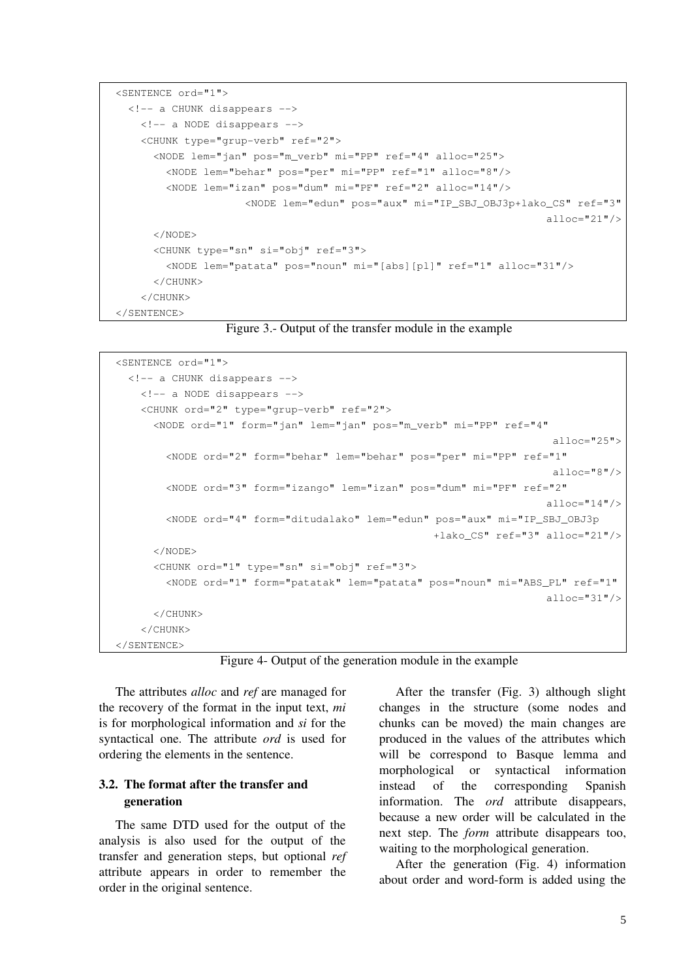```
<SENTENCE ord="1">
  <!-- a CHUNK disappears -->
    \langle!-- a NODE disappears -->
    <CHUNK type="grup-verb" ref="2">
             <NODE lem="jan" pos="m_verb" mi="PP" ref="4" alloc="25"> 
                 <NODE lem="behar" pos="per" mi="PP" ref="1" alloc="8"/>
                 <NODE lem="izan" pos="dum" mi="PF" ref="2" alloc="14"/>
                               <NODE lem="edun" pos="aux" mi="IP_SBJ_OBJ3p+lako_CS" ref="3"
                                                                               alloc="21"/>
             </NODE>
            <CHUNK type="sn" si="obj" ref="3">
                 <NODE lem="patata" pos="noun" mi="[abs][pl]" ref="1" alloc="31"/>
            </CHUNK>
        </CHUNK>
</SENTENCE>
```
Figure 3. Output of the transfer module in the example

```
<SENTENCE ord="1">
  <!-- a CHUNK disappears -->
    <!-- a NODE disappears -->
    <CHUNK ord="2" type="grup-verb" ref="2">
            <NODE ord="1" form="jan" lem="jan" pos="m_verb" mi="PP" ref="4" 
                                                                              alloc="25">
                 <NODE ord="2" form="behar" lem="behar" pos="per" mi="PP" ref="1" 
                                                                              alloc="8"/>
                 <NODE ord="3" form="izango" lem="izan" pos="dum" mi="PF" ref="2" 
                                                                             alloc="14"/>
                 <NODE ord="4" form="ditudalako" lem="edun" pos="aux" mi="IP_SBJ_OBJ3p
                                                         +lako_CS" ref="3" alloc="21"/>
            </NODE>
            <CHUNK ord="1" type="sn" si="obj" ref="3">
                 <NODE ord="1" form="patatak" lem="patata" pos="noun" mi="ABS_PL" ref="1"
                                                                             alloc="31"/>
            </CHUNK>
        </CHUNK>
</SENTENCE>
```
Figure 4- Output of the generation module in the example

The attributes *alloc* and *ref* are managed for the recovery of the format in the input text, *mi* is for morphological information and *si* for the syntactical one. The attribute *ord* is used for ordering the elements in the sentence.

# 3.2. The format after the transfer and generation

The same DTD used for the output of the analysis is also used for the output of the transfer and generation steps, but optional *ref* attribute appears in order to remember the order in the original sentence.

After the transfer (Fig. 3) although slight changes in the structure (some nodes and chunks can be moved) the main changes are produced in the values of the attributes which will be correspond to Basque lemma and morphological or syntactical information instead of the corresponding Spanish information. The *ord* attribute disappears, because a new order will be calculated in the next step. The *form* attribute disappears too, waiting to the morphological generation.

After the generation (Fig. 4) information about order and word-form is added using the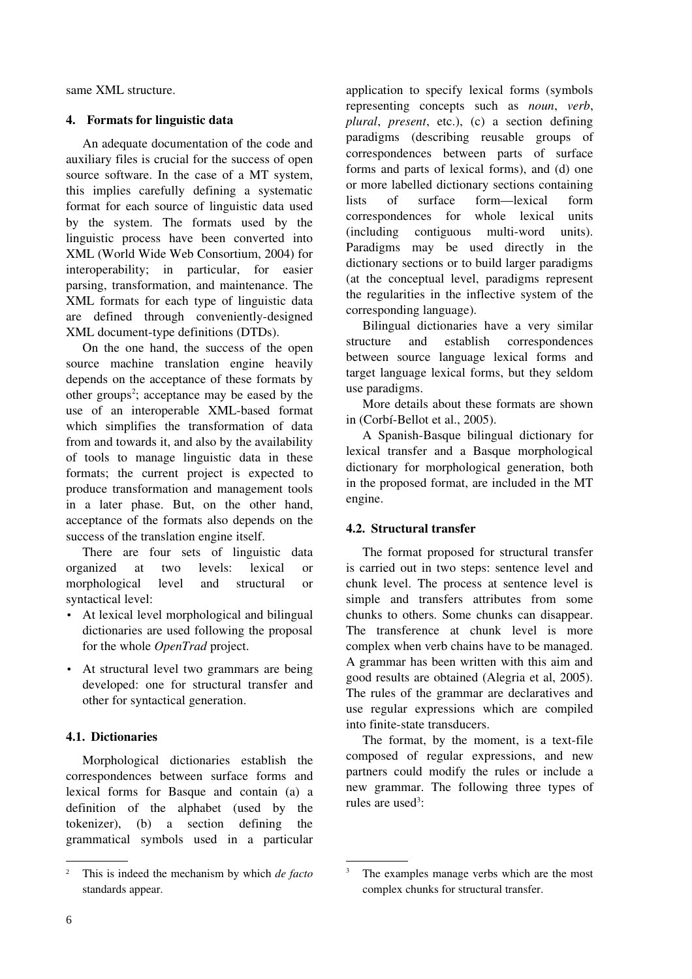same XML structure.

### 4. Formats for linguistic data

An adequate documentation of the code and auxiliary files is crucial for the success of open source software. In the case of a MT system, this implies carefully defining a systematic format for each source of linguistic data used by the system. The formats used by the linguistic process have been converted into XML (World Wide Web Consortium, 2004) for interoperability; in particular, for easier parsing, transformation, and maintenance. The XML formats for each type of linguistic data are defined through conveniently-designed XML document-type definitions (DTDs).

On the one hand, the success of the open source machine translation engine heavily depends on the acceptance of these formats by other groups 2 ; acceptance may be eased by the use of an interoperable XML-based format which simplifies the transformation of data from and towards it, and also by the availability of tools to manage linguistic data in these formats; the current project is expected to produce transformation and management tools in a later phase. But, on the other hand, acceptance of the formats also depends on the success of the translation engine itself.

There are four sets of linguistic data organized at two levels: lexical or morphological level and structural or syntactical level:

- At lexical level morphological and bilingual dictionaries are used following the proposal for the whole *OpenTrad* project.
- At structural level two grammars are being developed: one for structural transfer and other for syntactical generation.

# 4.1. Dictionaries

Morphological dictionaries establish the correspondences between surface forms and lexical forms for Basque and contain (a) a definition of the alphabet (used by the tokenizer), (b) a section defining the grammatical symbols used in a particular

application to specify lexical forms (symbols representing concepts such as *noun*, *verb*, *plural*, *present*, etc.), (c) a section defining paradigms (describing reusable groups of correspondences between parts of surface forms and parts of lexical forms), and (d) one or more labelled dictionary sections containing lists of surface form—lexical form correspondences for whole lexical units (including contiguous multi-word units). Paradigms may be used directly in the dictionary sections or to build larger paradigms (at the conceptual level, paradigms represent the regularities in the inflective system of the corresponding language).

Bilingual dictionaries have a very similar structure and establish correspondences between source language lexical forms and target language lexical forms, but they seldom use paradigms.

More details about these formats are shown in (Corbí-Bellot et al., 2005).

A Spanish-Basque bilingual dictionary for lexical transfer and a Basque morphological dictionary for morphological generation, both in the proposed format, are included in the MT engine.

# 4.2. Structural transfer

The format proposed for structural transfer is carried out in two steps: sentence level and chunk level. The process at sentence level is simple and transfers attributes from some chunks to others. Some chunks can disappear. The transference at chunk level is more complex when verb chains have to be managed. A grammar has been written with this aim and good results are obtained (Alegria et al, 2005). The rules of the grammar are declaratives and use regular expressions which are compiled into finite-state transducers.

The format, by the moment, is a text-file composed of regular expressions, and new partners could modify the rules or include a new grammar. The following three types of rules are used<sup>3</sup>:

<sup>2</sup> This is indeed the mechanism by which *de facto* standards appear.

The examples manage verbs which are the most complex chunks for structural transfer.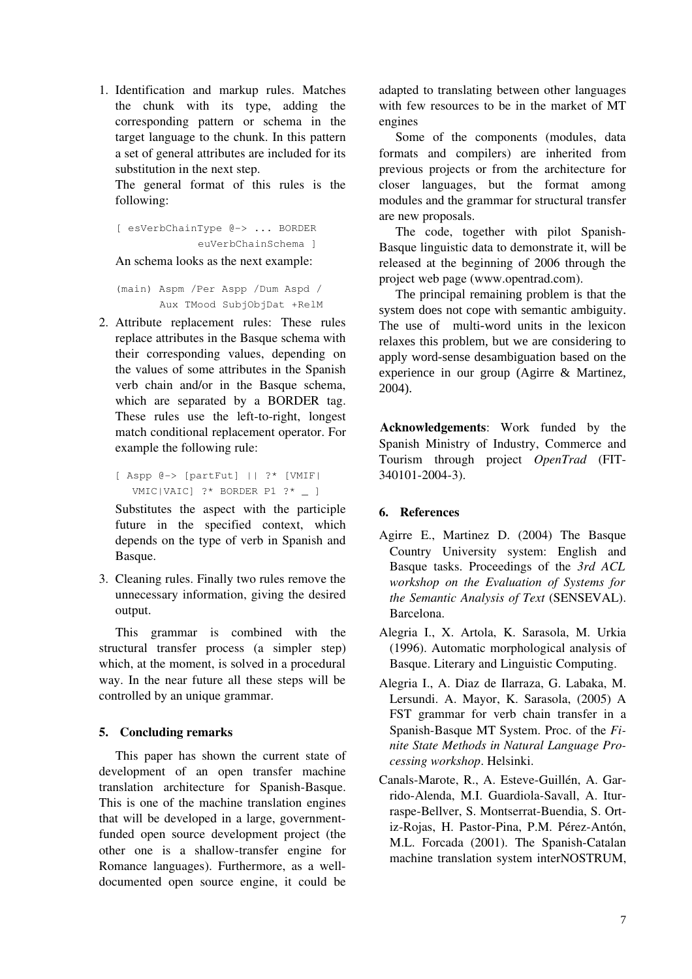1. Identification and markup rules. Matches the chunk with its type, adding the corresponding pattern or schema in the target language to the chunk. In this pattern a set of general attributes are included for its substitution in the next step.

The general format of this rules is the following:

```
[ esVerbChainType @-> ... BORDER
             euVerbChainSchema ]
```
An schema looks as the next example:

(main) Aspm /Per Aspp /Dum Aspd / Aux TMood SubjObjDat +RelM

2. Attribute replacement rules: These rules replace attributes in the Basque schema with their corresponding values, depending on the values of some attributes in the Spanish verb chain and/or in the Basque schema, which are separated by a BORDER tag. These rules use the left-to-right, longest match conditional replacement operator. For example the following rule:

```
[ Aspp \theta \rightarrow [partFut] | | ?* [VMIF|VMIC|VAIC] ?* BORDER P1 ?* _ ]
```
Substitutes the aspect with the participle future in the specified context, which depends on the type of verb in Spanish and Basque.

3. Cleaning rules. Finally two rules remove the unnecessary information, giving the desired output.

This grammar is combined with the structural transfer process (a simpler step) which, at the moment, is solved in a procedural way. In the near future all these steps will be controlled by an unique grammar.

# 5. Concluding remarks

This paper has shown the current state of development of an open transfer machine translation architecture for Spanish-Basque. This is one of the machine translation engines that will be developed in a large, governmentfunded open source development project (the other one is a shallow-transfer engine for Romance languages). Furthermore, as a welldocumented open source engine, it could be

adapted to translating between other languages with few resources to be in the market of MT engines

Some of the components (modules, data formats and compilers) are inherited from previous projects or from the architecture for closer languages, but the format among modules and the grammar for structural transfer are new proposals.

The code, together with pilot Spanish-Basque linguistic data to demonstrate it, will be released at the beginning of 2006 through the project web page (www.opentrad.com).

The principal remaining problem is that the system does not cope with semantic ambiguity. The use of multi-word units in the lexicon relaxes this problem, but we are considering to apply word-sense desambiguation based on the experience in our group (Agirre & Martinez, 2004).

Acknowledgements: Work funded by the Spanish Ministry of Industry, Commerce and Tourism through project *OpenTrad* (FIT-340101-2004-3).

### 6. References

- Agirre E., Martinez D. (2004) The Basque Country University system: English and Basque tasks. Proceedings of the *3rd ACL workshop on the Evaluation of Systems for the Semantic Analysis of Text* (SENSEVAL). Barcelona.
- Alegria I., X. Artola, K. Sarasola, M. Urkia (1996). Automatic morphological analysis of Basque. Literary and Linguistic Computing.
- Alegria I., A. Diaz de Ilarraza, G. Labaka, M. Lersundi. A. Mayor, K. Sarasola, (2005) A FST grammar for verb chain transfer in a Spanish-Basque MT System. Proc. of the *Finite State Methods in Natural Language Processing workshop*. Helsinki.
- Canals-Marote, R., A. Esteve-Guillén, A. Garrido-Alenda, M.I. Guardiola-Savall, A. Iturraspe-Bellver, S. Montserrat-Buendia, S. Ortiz-Rojas, H. Pastor-Pina, P.M. Pérez-Antón, M.L. Forcada (2001). The Spanish-Catalan machine translation system interNOSTRUM,